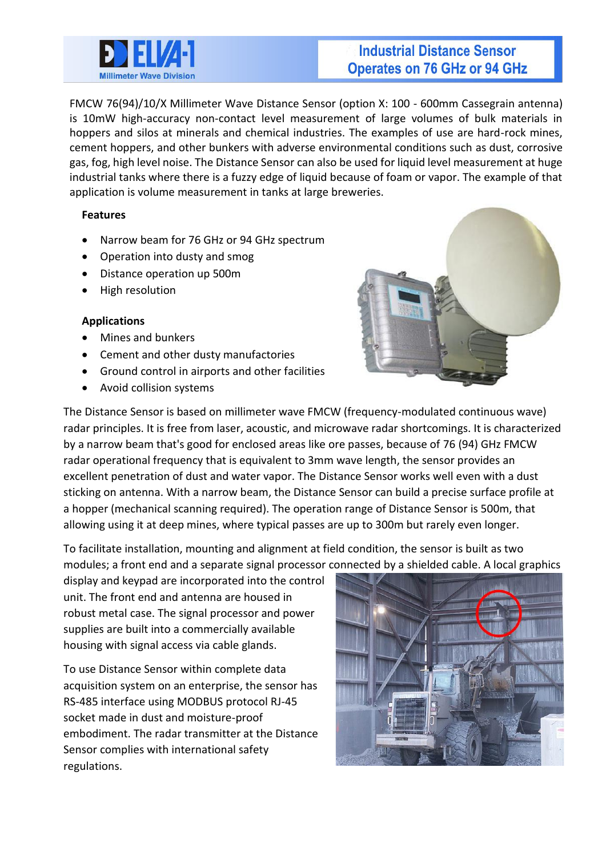

# **Industrial Distance Sensor Operates on 76 GHz or 94 GHz**

FMCW 76(94)/10/X Millimeter Wave Distance Sensor (option X: 100 - 600mm Cassegrain antenna) is 10mW high-accuracy non-contact level measurement of large volumes of bulk materials in hoppers and silos at minerals and chemical industries. The examples of use are hard-rock mines, cement hoppers, and other bunkers with adverse environmental conditions such as dust, corrosive gas, fog, high level noise. The Distance Sensor can also be used for liquid level measurement at huge industrial tanks where there is a fuzzy edge of liquid because of foam or vapor. The example of that application is volume measurement in tanks at large breweries.

### **Features**

- Narrow beam for 76 GHz or 94 GHz spectrum
- Operation into dusty and smog
- Distance operation up 500m
- High resolution

### **Applications**

- Mines and bunkers
- Cement and other dusty manufactories
- Ground control in airports and other facilities
- Avoid collision systems



The Distance Sensor is based on millimeter wave FMCW (frequency-modulated continuous wave) radar principles. It is free from laser, acoustic, and microwave radar shortcomings. It is characterized by a narrow beam that's good for enclosed areas like ore passes, because of 76 (94) GHz FMCW radar operational frequency that is equivalent to 3mm wave length, the sensor provides an excellent penetration of dust and water vapor. The Distance Sensor works well even with a dust sticking on antenna. With a narrow beam, the Distance Sensor can build a precise surface profile at a hopper (mechanical scanning required). The operation range of Distance Sensor is 500m, that allowing using it at deep mines, where typical passes are up to 300m but rarely even longer.

To facilitate installation, mounting and alignment at field condition, the sensor is built as two modules; a front end and a separate signal processor connected by a shielded cable. A local graphics

display and keypad are incorporated into the control unit. The front end and antenna are housed in robust metal case. The signal processor and power supplies are built into a commercially available housing with signal access via cable glands.

To use Distance Sensor within complete data acquisition system on an enterprise, the sensor has RS-485 interface using MODBUS protocol RJ-45 socket made in dust and moisture-proof embodiment. The radar transmitter at the Distance Sensor complies with international safety regulations.

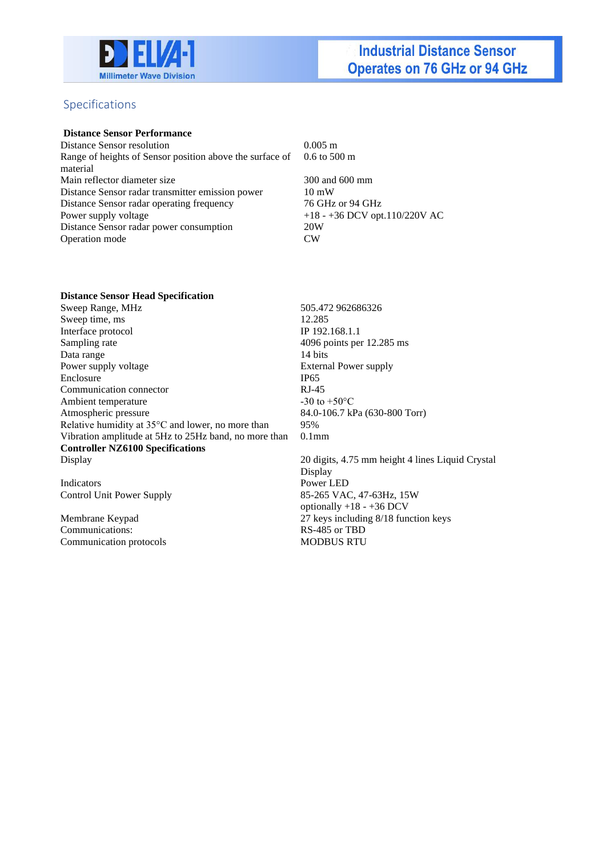

### Specifications

#### **Distance Sensor Performance**

Distance Sensor resolution 0.005 m Range of heights of Sensor position above the surface of material Main reflector diameter size 300 and 600 mm Distance Sensor radar transmitter emission power 10 mW Distance Sensor radar operating frequency 76 GHz or 94 GHz Power supply voltage  $+18 - +36$  DCV opt.110/220V AC Distance Sensor radar power consumption 20W Operation mode CW

0.6 to 500 m

#### **Distance Sensor Head Specification**

Sweep Range, MHz 505.472 962686326 Sweep time, ms 12.285 Interface protocol IP 192.168.1.1 Sampling rate 4096 points per 12.285 ms Data range 14 bits Power supply voltage External Power supply Enclosure IP65 Communication connector RJ-45 Ambient temperature  $-30$  to  $+50^{\circ}$ C Atmospheric pressure 84.0-106.7 kPa (630-800 Torr) Relative humidity at 35°C and lower, no more than 95% Vibration amplitude at 5Hz to 25Hz band, no more than 0.1mm **Controller NZ6100 Specifications** 

Display 20 digits, 4.75 mm height 4 lines Liquid Crystal Display

Indicators Power LED<br>
Control Unit Power Supply 85-265 VAC

Communications: RS-485 or TBD Communication protocols MODBUS RTU

85-265 VAC, 47-63Hz, 15W optionally +18 - +36 DCV Membrane Keypad 27 keys including 8/18 function keys